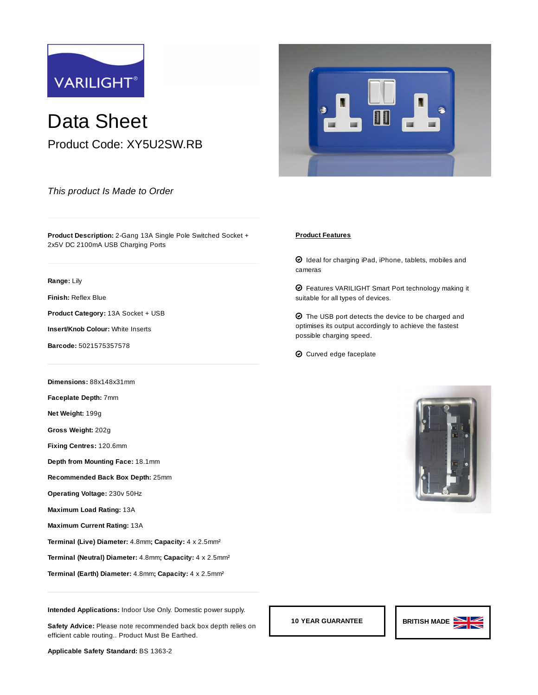

Data Sheet Product Code: XY5U2SW.RB

*This product Is Made to Order*

**Product Description:** 2-Gang 13A Single Pole Switched Socket + 2x5V DC 2100mA USB Charging Ports

## **Range:** [Lily](https://www.varilight.co.uk/ranges/lily-range.php)

**Finish:** [Reflex Blue](https://www.varilight.co.uk/ranges/range-lily-reflex-blue.php)

**Product Category:** 13A Socket + USB

**Insert/Knob Colour:** White Inserts

**Barcode:** 5021575357578

**Dimensions:** 88x148x31mm

**Faceplate Depth:** 7mm

**Net Weight:** 199g

**Gross Weight:** 202g

**Fixing Centres:** 120.6mm

**Depth from Mounting Face:** 18.1mm

**Recommended Back Box Depth:** 25mm

**Operating Voltage:** 230v 50Hz

**Maximum Load Rating:** 13A

**Maximum Current Rating:** 13A

**Terminal (Live) Diameter:** 4.8mm**; Capacity:** 4 x 2.5mm²

**Terminal (Neutral) Diameter:** 4.8mm**; Capacity:** 4 x 2.5mm²

**Terminal (Earth) Diameter:** 4.8mm**; Capacity:** 4 x 2.5mm²



## **Product Features**

 $\bm{\Theta}$  Ideal for charging iPad, iPhone, tablets, mobiles and cameras

 $\bm{\Theta}$  Features VARILIGHT Smart Port technology making it suitable for all types of devices.

 $\bm{\odot}$  The USB port detects the device to be charged and optimises its output accordingly to achieve the fastest possible charging speed.

 $\bm{\Theta}$  Curved edge faceplate





**Intended Applications:** Indoor Use Only. Domestic power supply.

Safety Advice: Please note recommended back box depth relies on efficient cable routing.. Product Must Be Earthed.

**Applicable Safety Standard:** BS 1363-2